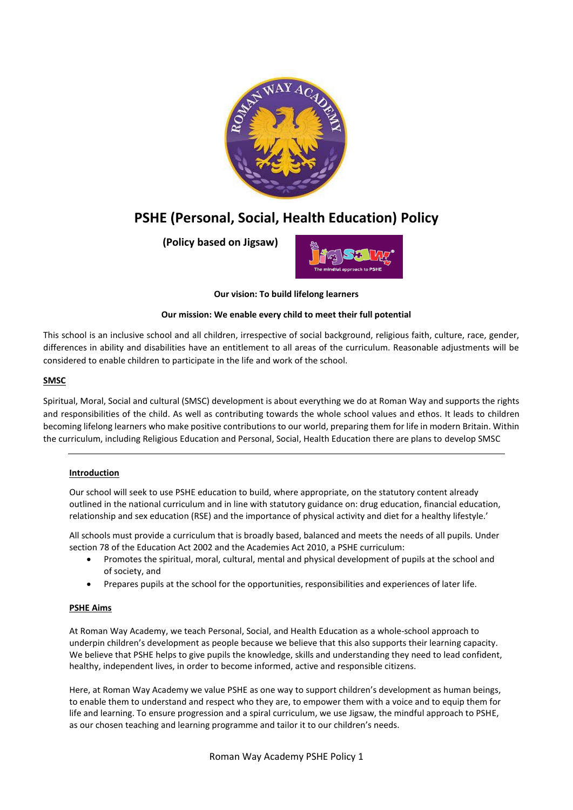

# **PSHE (Personal, Social, Health Education) Policy**

 **(Policy based on Jigsaw)**



### **Our vision: To build lifelong learners**

### **Our mission: We enable every child to meet their full potential**

This school is an inclusive school and all children, irrespective of social background, religious faith, culture, race, gender, differences in ability and disabilities have an entitlement to all areas of the curriculum. Reasonable adjustments will be considered to enable children to participate in the life and work of the school.

### **SMSC**

Spiritual, Moral, Social and cultural (SMSC) development is about everything we do at Roman Way and supports the rights and responsibilities of the child. As well as contributing towards the whole school values and ethos. It leads to children becoming lifelong learners who make positive contributions to our world, preparing them for life in modern Britain. Within the curriculum, including Religious Education and Personal, Social, Health Education there are plans to develop SMSC

### **Introduction**

Our school will seek to use PSHE education to build, where appropriate, on the statutory content already outlined in the national curriculum and in line with statutory guidance on: drug education, financial education, relationship and sex education (RSE) and the importance of physical activity and diet for a healthy lifestyle.'

All schools must provide a curriculum that is broadly based, balanced and meets the needs of all pupils. Under section 78 of the Education Act 2002 and the Academies Act 2010, a PSHE curriculum:

- Promotes the spiritual, moral, cultural, mental and physical development of pupils at the school and of society, and
- Prepares pupils at the school for the opportunities, responsibilities and experiences of later life.

### **PSHE Aims**

At Roman Way Academy, we teach Personal, Social, and Health Education as a whole-school approach to underpin children's development as people because we believe that this also supports their learning capacity. We believe that PSHE helps to give pupils the knowledge, skills and understanding they need to lead confident, healthy, independent lives, in order to become informed, active and responsible citizens.

Here, at Roman Way Academy we value PSHE as one way to support children's development as human beings, to enable them to understand and respect who they are, to empower them with a voice and to equip them for life and learning. To ensure progression and a spiral curriculum, we use Jigsaw, the mindful approach to PSHE, as our chosen teaching and learning programme and tailor it to our children's needs.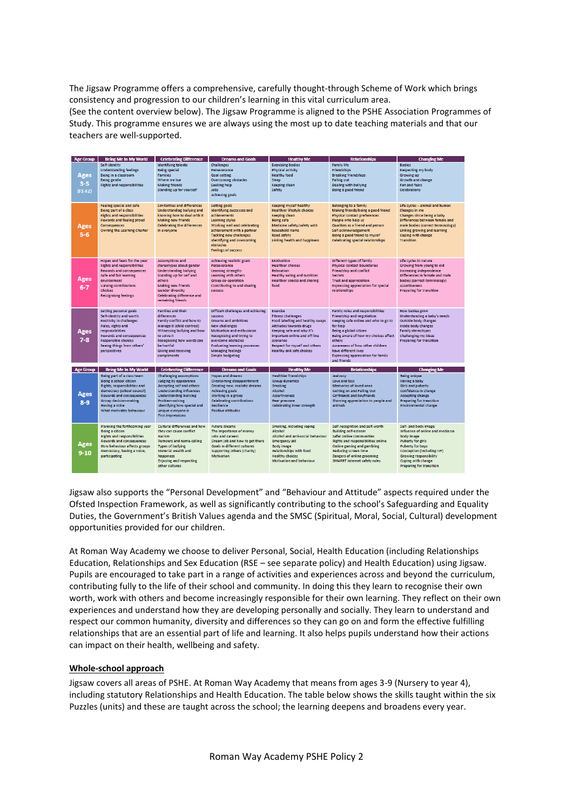The Jigsaw Programme offers a comprehensive, carefully thought-through Scheme of Work which brings consistency and progression to our children's learning in this vital curriculum area. (See the content overview below). The Jigsaw Programme is aligned to the PSHE Association Programmes of Study. This programme ensures we are always using the most up to date teaching materials and that our teachers are well-supported.

| <b>Age Group</b>             | <b>Being Me In My World</b>                                                                                                                                                                                                                         | <b>Celebrating Difference</b>                                                                                                                                                                                                                                              | <b>Dreams and Goals</b>                                                                                                                                                                                                                                                                     | <b>Healthy Me</b>                                                                                                                                                                                                                                                        | <b>Relationships</b>                                                                                                                                                                                                                                                                                                                        | <b>Changing Me</b>                                                                                                                                                                                                                                                  |
|------------------------------|-----------------------------------------------------------------------------------------------------------------------------------------------------------------------------------------------------------------------------------------------------|----------------------------------------------------------------------------------------------------------------------------------------------------------------------------------------------------------------------------------------------------------------------------|---------------------------------------------------------------------------------------------------------------------------------------------------------------------------------------------------------------------------------------------------------------------------------------------|--------------------------------------------------------------------------------------------------------------------------------------------------------------------------------------------------------------------------------------------------------------------------|---------------------------------------------------------------------------------------------------------------------------------------------------------------------------------------------------------------------------------------------------------------------------------------------------------------------------------------------|---------------------------------------------------------------------------------------------------------------------------------------------------------------------------------------------------------------------------------------------------------------------|
| Ages<br>$3 - 5$<br>$(F1-F2)$ | Self-identity<br><b>Understanding feelings</b><br>Being in a classroom<br><b>Being gentle</b><br><b>Rights and responsibilities</b>                                                                                                                 | <b>Identifying talents</b><br><b>Being special</b><br><b>Families</b><br>Where we live<br><b>Making friends</b><br><b>Standing up for yourself</b>                                                                                                                         | <b>Challenges</b><br>Perseverance<br>Goal-setting<br><b>Overcoming obstacles</b><br>Seeking help<br>Jobs<br><b>Achieving goals</b>                                                                                                                                                          | <b>Exercising bodies</b><br><b>Physical activity</b><br><b>Healthy food</b><br>Sleep<br><b>Keeping clean</b><br>Safety                                                                                                                                                   | <b>Family life</b><br><b>Friendships</b><br><b>Breaking friendships</b><br><b>Falling out</b><br><b>Dealing with bullying</b><br><b>Being a good friend</b>                                                                                                                                                                                 | <b>Bodies</b><br><b>Respecting my body</b><br><b>Growing up</b><br><b>Growth and change</b><br><b>Fun and fears</b><br><b>Celebrations</b>                                                                                                                          |
| Ages<br>5-6                  | <b>Feeling special and safe</b><br>Being part of a class<br><b>Rights and responsibilities</b><br><b>Rewards and feeling proud</b><br>Consequences<br>Owning the Learning Charter                                                                   | <b>Similarities and differences</b><br><b>Understanding bullying and</b><br>knowing how to deal with it<br><b>Making new friends</b><br><b>Celebrating the differences</b><br>in everyone                                                                                  | <b>Setting goals</b><br><b>Identifying successes and</b><br>achievements<br><b>Learning styles</b><br>Working well and celebrating<br>achievement with a partner<br><b>Tackling new challenges</b><br><b>Identifying and overcoming</b><br>obstacles<br><b>Feelings of success</b>          | Keeping myself healthy<br><b>Healthier lifestyle choices</b><br><b>Keeping clean</b><br><b>Being safe</b><br>Medicine safety/safety with<br>household items<br><b>Road safety</b><br><b>Linking health and happiness</b>                                                 | <b>Belonging to a family</b><br>Making friends/being a good friend<br><b>Physical contact preferences</b><br>People who help us<br>Qualities as a friend and person<br>Self-acknowledgement<br>Being a good friend to myself<br><b>Celebrating special relationships</b>                                                                    | Life cycles - animal and human<br><b>Changes</b> in me<br>Changes since being a baby<br>Differences between female and<br>male bodies (correct terminology)<br>Linking growing and learning<br>Coping with change<br><b>Transition</b>                              |
| Ages<br>$6 - 7$              | Hopes and fears for the year<br><b>Rights and responsibilities</b><br><b>Rewards and consequences</b><br>Safe and fair learning<br>environment<br><b>Valuing contributions</b><br>Choices<br><b>Recognising feelings</b>                            | <b>Assumptions and</b><br>stereotypes about gender<br><b>Understanding bullying</b><br>Standing up for self and<br>others<br><b>Making new friends</b><br><b>Gender diversity</b><br><b>Celebrating difference and</b><br>remaining friends                                | <b>Achieving realistic goals</b><br>Perseverance<br><b>Learning strengths</b><br><b>Learning with others</b><br><b>Group co-operation</b><br><b>Contributing to and sharing</b><br>success                                                                                                  | <b>Motivation</b><br><b>Healthier choices</b><br>Relaxation<br><b>Healthy eating and nutrition</b><br><b>Healthier snacks and sharing</b><br>food                                                                                                                        | Different types of family<br><b>Physical contact boundaries</b><br><b>Friendship and conflict</b><br><b>Secrets</b><br><b>Trust and appreciation</b><br><b>Expressing appreciation for special</b><br>relationships                                                                                                                         | Life cycles in nature<br>Growing from young to old<br>Increasing independence<br>Differences in female and male<br>bodies (correct terminology)<br><b>Assertiveness</b><br><b>Preparing for transition</b>                                                          |
| Ages<br>$7 - 8$              | <b>Setting personal goals</b><br>Self-identity and worth<br><b>Positivity in challenges</b><br>Rules, rights and<br>responsibilities<br><b>Rewards and consequences</b><br><b>Responsible choices</b><br>Seeing things from others'<br>perspectives | <b>Families and their</b><br>differences<br>Family conflict and how to<br>manage it (child-centred)<br>Witnessing bullying and how<br>to solve it<br>Recognising how words can<br>be hurtful<br><b>Giving and receiving</b><br>compliments                                 | Difficult challenges and achieving<br>success<br><b>Dreams and ambitions</b><br><b>New challenges</b><br><b>Motivation and enthusiasm</b><br>Recognising and trying to<br>overcome obstacles<br><b>Evaluating learning processes</b><br><b>Managing feelings</b><br><b>Simple budgeting</b> | <b>Exercise</b><br><b>Fitness challenges</b><br>Food labelling and healthy swaps<br><b>Attitudes towards drugs</b><br>Keeping safe and why it's<br>important online and off line<br>scenarios<br><b>Respect for myself and others</b><br><b>Healthy and safe choices</b> | <b>Family roles and responsibilities</b><br><b>Friendship and negotiation</b><br>Keeping safe online and who to go to<br>for help<br>Being a global citizen<br>Being aware of how my choices affect<br>others<br><b>Awareness of how other children</b><br>have different lives<br><b>Expressing appreciation for family</b><br>and friends | <b>How babies grow</b><br>Understanding a baby's needs<br><b>Outside body changes</b><br>Inside body changes<br><b>Family stereotypes</b><br><b>Challenging my ideas</b><br><b>Preparing for transition</b>                                                         |
| <b>Age Group</b>             | <b>Being Me In My World</b>                                                                                                                                                                                                                         | <b>Celebrating Difference</b>                                                                                                                                                                                                                                              | <b>Dreams and Goals</b>                                                                                                                                                                                                                                                                     | <b>Healthy Me</b>                                                                                                                                                                                                                                                        | <b>Relationships</b>                                                                                                                                                                                                                                                                                                                        | <b>Changing Me</b>                                                                                                                                                                                                                                                  |
| <b>Ages</b><br>$8 - 9$       | Being part of a class team<br>Being a school citizen<br><b>Rights, responsibilities and</b><br>democracy (school council)<br><b>Rewards and consequences</b><br><b>Group decision-making</b><br><b>Having a voice</b><br>What motivates behaviour   | <b>Challenging assumptions</b><br>Judging by appearance<br><b>Accepting self and others</b><br><b>Understanding influences</b><br><b>Understanding bullying</b><br>Problem-solving<br><b>Identifying how special and</b><br>unique everyone is<br><b>First impressions</b> | <b>Hopes and dreams</b><br><b>Overcoming disappointment</b><br><b>Creating new, realistic dreams</b><br><b>Achieving goals</b><br>Working in a group<br><b>Celebrating contributions</b><br>Resilience<br><b>Positive attitudes</b>                                                         | <b>Healthier friendships</b><br><b>Group dynamics</b><br><b>Smoking</b><br>Alcohol<br><b>Assertiveness</b><br>Peer pressure<br><b>Celebrating inner strength</b>                                                                                                         | Jealousy<br>Love and loss<br>Memories of loved ones<br><b>Getting on and Falling Out</b><br>Girlfriends and boyfriends<br>Showing appreciation to people and<br>animals                                                                                                                                                                     | <b>Being unique</b><br><b>Having a baby</b><br><b>Girls and puberty</b><br>Confidence in change<br><b>Accepting change</b><br><b>Preparing for transition</b><br><b>Environmental change</b>                                                                        |
| <b>Ages</b><br>$9 - 10$      | Planning the forthcoming year<br>Being a citizen<br><b>Rights and responsibilities</b><br><b>Rewards and consequences</b><br><b>How behaviour affects groups</b><br>Democracy, having a voice,<br>participating                                     | <b>Cultural differences and how</b><br>they can cause conflict<br>Racism<br><b>Rumours and name-calling</b><br><b>Types of bullving</b><br>Material wealth and<br>happiness<br><b>Enjoying and respecting</b><br>other cultures                                            | <b>Future dreams</b><br>The importance of money<br><b>Jobs and careers</b><br>Dream job and how to get there<br><b>Goals in different cultures</b><br><b>Supporting others (charity)</b><br><b>Motivation</b>                                                                               | Smoking, including vaping<br>Alcohol<br>Alcohol and anti-social behaviour<br><b>Emergency aid</b><br><b>Body image</b><br><b>Relationships with food</b><br><b>Healthy choices</b><br><b>Motivation and behaviour</b>                                                    | Self-recognition and self-worth<br><b>Building self-esteem</b><br><b>Safer online communities</b><br><b>Rights and responsibilities online</b><br>Online gaming and gambling<br><b>Reducing screen time</b><br>Dangers of online grooming<br><b>SMARRT internet safety rules</b>                                                            | Self- and body image<br>Influence of online and media on<br>body image<br><b>Puberty for girls</b><br><b>Puberty for boys</b><br><b>Conception (including IVF)</b><br><b>Growing responsibility</b><br><b>Coping with change</b><br><b>Preparing for transition</b> |

Jigsaw also supports the "Personal Development" and "Behaviour and Attitude" aspects required under the Ofsted Inspection Framework, as well as significantly contributing to the school's Safeguarding and Equality Duties, the Government's British Values agenda and the SMSC (Spiritual, Moral, Social, Cultural) development opportunities provided for our children.

At Roman Way Academy we choose to deliver Personal, Social, Health Education (including Relationships Education, Relationships and Sex Education (RSE – see separate policy) and Health Education) using Jigsaw. Pupils are encouraged to take part in a range of activities and experiences across and beyond the curriculum, contributing fully to the life of their school and community. In doing this they learn to recognise their own worth, work with others and become increasingly responsible for their own learning. They reflect on their own experiences and understand how they are developing personally and socially. They learn to understand and respect our common humanity, diversity and differences so they can go on and form the effective fulfilling relationships that are an essential part of life and learning. It also helps pupils understand how their actions can impact on their health, wellbeing and safety.

### **Whole-school approach**

Jigsaw covers all areas of PSHE. At Roman Way Academy that means from ages 3-9 (Nursery to year 4), including statutory Relationships and Health Education. The table below shows the skills taught within the six Puzzles (units) and these are taught across the school; the learning deepens and broadens every year.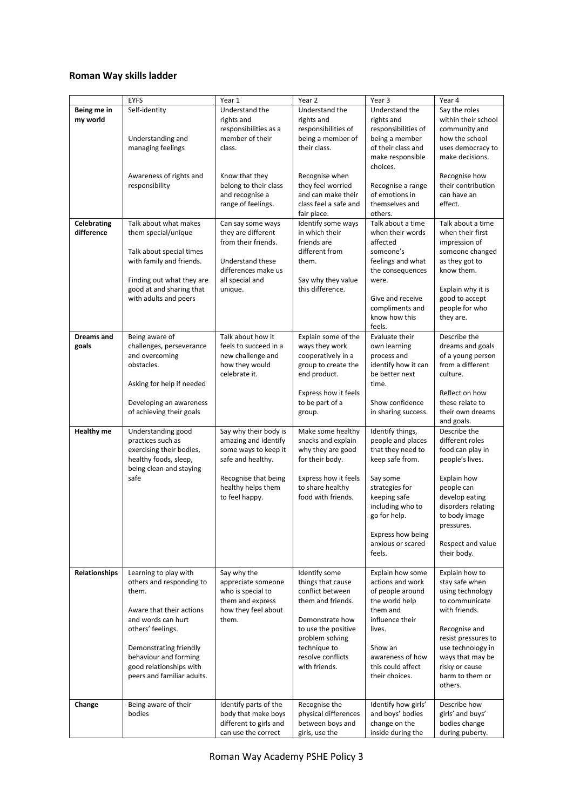# **Roman Way skills ladder**

|                                  | <b>EYFS</b>                                                                                                                                                                                                                                   | Year 1                                                                                                                                                                 | Year 2                                                                                                                                                                                         | Year 3                                                                                                                                                                                                              | Year 4                                                                                                                                                                                                                   |
|----------------------------------|-----------------------------------------------------------------------------------------------------------------------------------------------------------------------------------------------------------------------------------------------|------------------------------------------------------------------------------------------------------------------------------------------------------------------------|------------------------------------------------------------------------------------------------------------------------------------------------------------------------------------------------|---------------------------------------------------------------------------------------------------------------------------------------------------------------------------------------------------------------------|--------------------------------------------------------------------------------------------------------------------------------------------------------------------------------------------------------------------------|
| Being me in<br>my world          | Self-identity<br>Understanding and<br>managing feelings<br>Awareness of rights and<br>responsibility                                                                                                                                          | Understand the<br>rights and<br>responsibilities as a<br>member of their<br>class.<br>Know that they<br>belong to their class<br>and recognise a<br>range of feelings. | Understand the<br>rights and<br>responsibilities of<br>being a member of<br>their class.<br>Recognise when<br>they feel worried<br>and can make their<br>class feel a safe and                 | Understand the<br>rights and<br>responsibilities of<br>being a member<br>of their class and<br>make responsible<br>choices.<br>Recognise a range<br>of emotions in<br>themselves and                                | Say the roles<br>within their school<br>community and<br>how the school<br>uses democracy to<br>make decisions.<br>Recognise how<br>their contribution<br>can have an<br>effect.                                         |
| <b>Celebrating</b><br>difference | Talk about what makes<br>them special/unique<br>Talk about special times<br>with family and friends.<br>Finding out what they are<br>good at and sharing that<br>with adults and peers                                                        | Can say some ways<br>they are different<br>from their friends.<br>Understand these<br>differences make us<br>all special and<br>unique.                                | fair place.<br>Identify some ways<br>in which their<br>friends are<br>different from<br>them.<br>Say why they value<br>this difference.                                                        | others.<br>Talk about a time<br>when their words<br>affected<br>someone's<br>feelings and what<br>the consequences<br>were.<br>Give and receive<br>compliments and<br>know how this<br>feels.                       | Talk about a time<br>when their first<br>impression of<br>someone changed<br>as they got to<br>know them.<br>Explain why it is<br>good to accept<br>people for who<br>they are.                                          |
| Dreams and<br>goals              | Being aware of<br>challenges, perseverance<br>and overcoming<br>obstacles.<br>Asking for help if needed<br>Developing an awareness<br>of achieving their goals                                                                                | Talk about how it<br>feels to succeed in a<br>new challenge and<br>how they would<br>celebrate it.                                                                     | Explain some of the<br>ways they work<br>cooperatively in a<br>group to create the<br>end product.<br>Express how it feels<br>to be part of a<br>group.                                        | Evaluate their<br>own learning<br>process and<br>identify how it can<br>be better next<br>time.<br>Show confidence<br>in sharing success.                                                                           | Describe the<br>dreams and goals<br>of a young person<br>from a different<br>culture.<br>Reflect on how<br>these relate to<br>their own dreams<br>and goals.                                                             |
| <b>Healthy me</b>                | Understanding good<br>practices such as<br>exercising their bodies,<br>healthy foods, sleep,<br>being clean and staying<br>safe                                                                                                               | Say why their body is<br>amazing and identify<br>some ways to keep it<br>safe and healthy.<br>Recognise that being<br>healthy helps them<br>to feel happy.             | Make some healthy<br>snacks and explain<br>why they are good<br>for their body.<br>Express how it feels<br>to share healthy<br>food with friends.                                              | Identify things,<br>people and places<br>that they need to<br>keep safe from.<br>Say some<br>strategies for<br>keeping safe<br>including who to<br>go for help.<br>Express how being<br>anxious or scared<br>feels. | Describe the<br>different roles<br>food can play in<br>people's lives.<br>Explain how<br>people can<br>develop eating<br>disorders relating<br>to body image<br>pressures.<br>Respect and value<br>their body.           |
| <b>Relationships</b>             | Learning to play with<br>others and responding to<br>them.<br>Aware that their actions<br>and words can hurt<br>others' feelings.<br>Demonstrating friendly<br>behaviour and forming<br>good relationships with<br>peers and familiar adults. | Say why the<br>appreciate someone<br>who is special to<br>them and express<br>how they feel about<br>them.                                                             | Identify some<br>things that cause<br>conflict between<br>them and friends.<br>Demonstrate how<br>to use the positive<br>problem solving<br>technique to<br>resolve conflicts<br>with friends. | Explain how some<br>actions and work<br>of people around<br>the world help<br>them and<br>influence their<br>lives.<br>Show an<br>awareness of how<br>this could affect<br>their choices.                           | Explain how to<br>stay safe when<br>using technology<br>to communicate<br>with friends.<br>Recognise and<br>resist pressures to<br>use technology in<br>ways that may be<br>risky or cause<br>harm to them or<br>others. |
| Change                           | Being aware of their<br>bodies                                                                                                                                                                                                                | Identify parts of the<br>body that make boys<br>different to girls and<br>can use the correct                                                                          | Recognise the<br>physical differences<br>between boys and<br>girls, use the                                                                                                                    | Identify how girls'<br>and boys' bodies<br>change on the<br>inside during the                                                                                                                                       | Describe how<br>girls' and buys'<br>bodies change<br>during puberty.                                                                                                                                                     |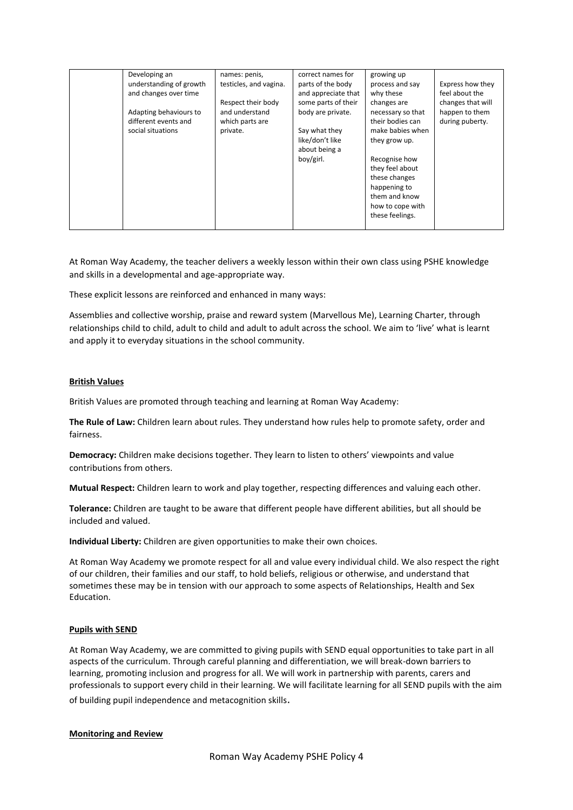| Developing an           | names: penis,          | correct names for   | growing up        |                   |
|-------------------------|------------------------|---------------------|-------------------|-------------------|
| understanding of growth | testicles, and vagina. | parts of the body   | process and say   | Express how they  |
| and changes over time   |                        | and appreciate that | why these         | feel about the    |
|                         | Respect their body     | some parts of their | changes are       | changes that will |
| Adapting behaviours to  | and understand         | body are private.   | necessary so that | happen to them    |
| different events and    | which parts are        |                     | their bodies can  | during puberty.   |
| social situations       | private.               | Say what they       | make babies when  |                   |
|                         |                        | like/don't like     | they grow up.     |                   |
|                         |                        | about being a       |                   |                   |
|                         |                        | boy/girl.           | Recognise how     |                   |
|                         |                        |                     | they feel about   |                   |
|                         |                        |                     |                   |                   |
|                         |                        |                     | these changes     |                   |
|                         |                        |                     | happening to      |                   |
|                         |                        |                     | them and know     |                   |
|                         |                        |                     | how to cope with  |                   |
|                         |                        |                     | these feelings.   |                   |
|                         |                        |                     |                   |                   |

At Roman Way Academy, the teacher delivers a weekly lesson within their own class using PSHE knowledge and skills in a developmental and age-appropriate way.

These explicit lessons are reinforced and enhanced in many ways:

Assemblies and collective worship, praise and reward system (Marvellous Me), Learning Charter, through relationships child to child, adult to child and adult to adult across the school. We aim to 'live' what is learnt and apply it to everyday situations in the school community.

#### **British Values**

British Values are promoted through teaching and learning at Roman Way Academy:

**The Rule of Law:** Children learn about rules. They understand how rules help to promote safety, order and fairness.

**Democracy:** Children make decisions together. They learn to listen to others' viewpoints and value contributions from others.

**Mutual Respect:** Children learn to work and play together, respecting differences and valuing each other.

**Tolerance:** Children are taught to be aware that different people have different abilities, but all should be included and valued.

**Individual Liberty:** Children are given opportunities to make their own choices.

At Roman Way Academy we promote respect for all and value every individual child. We also respect the right of our children, their families and our staff, to hold beliefs, religious or otherwise, and understand that sometimes these may be in tension with our approach to some aspects of Relationships, Health and Sex Education.

#### **Pupils with SEND**

At Roman Way Academy, we are committed to giving pupils with SEND equal opportunities to take part in all aspects of the curriculum. Through careful planning and differentiation, we will break-down barriers to learning, promoting inclusion and progress for all. We will work in partnership with parents, carers and professionals to support every child in their learning. We will facilitate learning for all SEND pupils with the aim

of building pupil independence and metacognition skills.

#### **Monitoring and Review**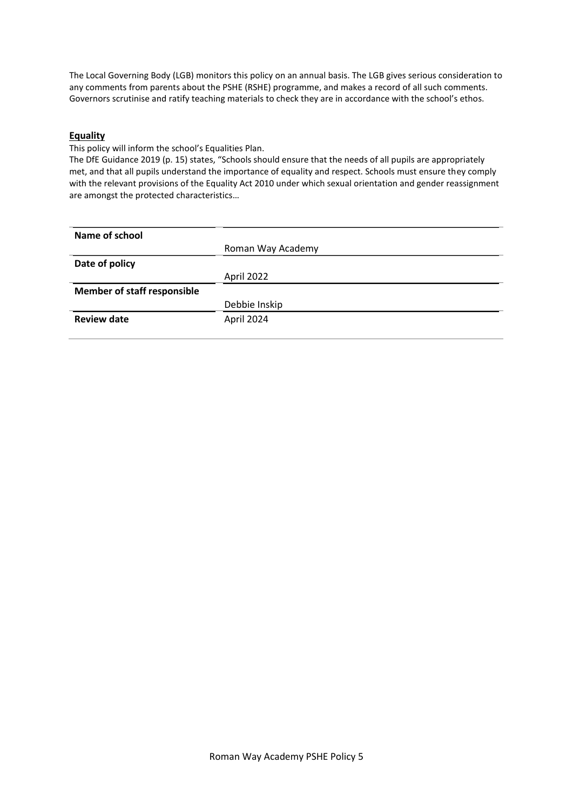The Local Governing Body (LGB) monitors this policy on an annual basis. The LGB gives serious consideration to any comments from parents about the PSHE (RSHE) programme, and makes a record of all such comments. Governors scrutinise and ratify teaching materials to check they are in accordance with the school's ethos.

### **Equality**

This policy will inform the school's Equalities Plan.

The DfE Guidance 2019 (p. 15) states, "Schools should ensure that the needs of all pupils are appropriately met, and that all pupils understand the importance of equality and respect. Schools must ensure they comply with the relevant provisions of the Equality Act 2010 under which sexual orientation and gender reassignment are amongst the protected characteristics…

| Name of school                     |                   |
|------------------------------------|-------------------|
|                                    | Roman Way Academy |
| Date of policy                     |                   |
|                                    | April 2022        |
| <b>Member of staff responsible</b> |                   |
|                                    | Debbie Inskip     |
| <b>Review date</b>                 | April 2024        |
|                                    |                   |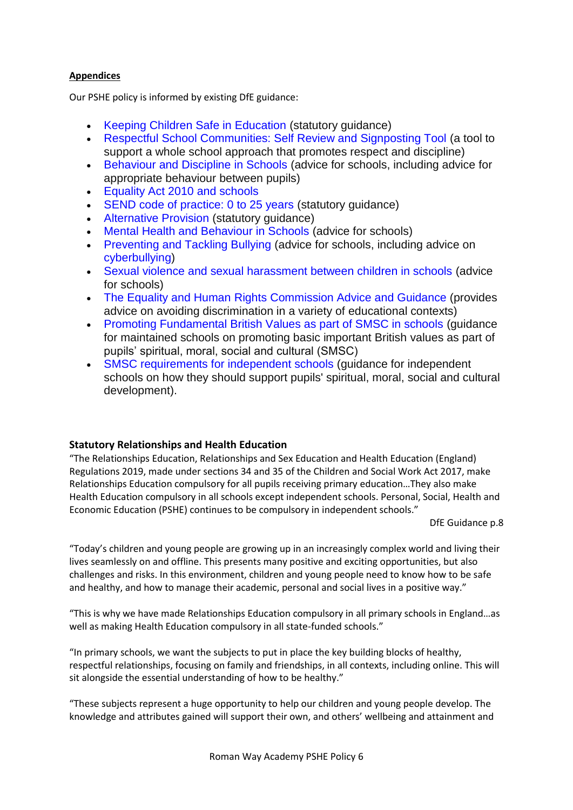## **Appendices**

Our PSHE policy is informed by existing DfE guidance:

- Keeping Children Safe in Education (statutory quidance)
- Respectful School Communities: Self Review and Signposting Tool (a tool to support a whole school approach that promotes respect and discipline)
- Behaviour and Discipline in Schools (advice for schools, including advice for appropriate behaviour between pupils)
- Equality Act 2010 and schools
- SEND code of practice: 0 to 25 years (statutory quidance)
- Alternative Provision (statutory guidance)
- Mental Health and Behaviour in Schools (advice for schools)
- Preventing and Tackling Bullying (advice for schools, including advice on cyberbullying)
- Sexual violence and sexual harassment between children in schools (advice for schools)
- The Equality and Human Rights Commission Advice and Guidance (provides advice on avoiding discrimination in a variety of educational contexts)
- Promoting Fundamental British Values as part of SMSC in schools (guidance for maintained schools on promoting basic important British values as part of pupils' spiritual, moral, social and cultural (SMSC)
- SMSC requirements for independent schools (guidance for independent schools on how they should support pupils' spiritual, moral, social and cultural development).

# **Statutory Relationships and Health Education**

"The Relationships Education, Relationships and Sex Education and Health Education (England) Regulations 2019, made under sections 34 and 35 of the Children and Social Work Act 2017, make Relationships Education compulsory for all pupils receiving primary education…They also make Health Education compulsory in all schools except independent schools. Personal, Social, Health and Economic Education (PSHE) continues to be compulsory in independent schools."

DfE Guidance p.8

"Today's children and young people are growing up in an increasingly complex world and living their lives seamlessly on and offline. This presents many positive and exciting opportunities, but also challenges and risks. In this environment, children and young people need to know how to be safe and healthy, and how to manage their academic, personal and social lives in a positive way."

"This is why we have made Relationships Education compulsory in all primary schools in England…as well as making Health Education compulsory in all state-funded schools."

"In primary schools, we want the subjects to put in place the key building blocks of healthy, respectful relationships, focusing on family and friendships, in all contexts, including online. This will sit alongside the essential understanding of how to be healthy."

"These subjects represent a huge opportunity to help our children and young people develop. The knowledge and attributes gained will support their own, and others' wellbeing and attainment and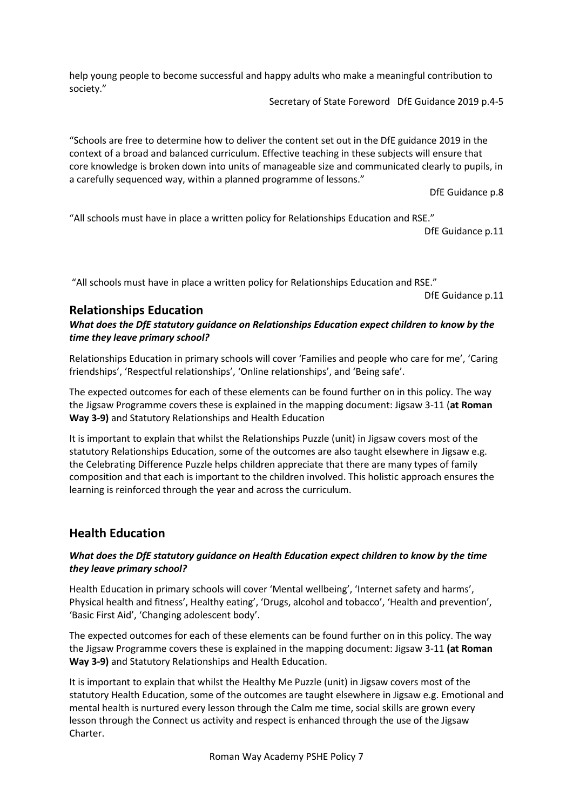help young people to become successful and happy adults who make a meaningful contribution to society."

Secretary of State Foreword DfE Guidance 2019 p.4-5

"Schools are free to determine how to deliver the content set out in the DfE guidance 2019 in the context of a broad and balanced curriculum. Effective teaching in these subjects will ensure that core knowledge is broken down into units of manageable size and communicated clearly to pupils, in a carefully sequenced way, within a planned programme of lessons."

DfE Guidance p.8

"All schools must have in place a written policy for Relationships Education and RSE." DfE Guidance p.11

"All schools must have in place a written policy for Relationships Education and RSE."

DfE Guidance p.11

# **Relationships Education**

## *What does the DfE statutory guidance on Relationships Education expect children to know by the time they leave primary school?*

Relationships Education in primary schools will cover 'Families and people who care for me', 'Caring friendships', 'Respectful relationships', 'Online relationships', and 'Being safe'.

The expected outcomes for each of these elements can be found further on in this policy. The way the Jigsaw Programme covers these is explained in the mapping document: Jigsaw 3-11 (**at Roman Way 3-9)** and Statutory Relationships and Health Education

It is important to explain that whilst the Relationships Puzzle (unit) in Jigsaw covers most of the statutory Relationships Education, some of the outcomes are also taught elsewhere in Jigsaw e.g. the Celebrating Difference Puzzle helps children appreciate that there are many types of family composition and that each is important to the children involved. This holistic approach ensures the learning is reinforced through the year and across the curriculum.

# **Health Education**

## *What does the DfE statutory guidance on Health Education expect children to know by the time they leave primary school?*

Health Education in primary schools will cover 'Mental wellbeing', 'Internet safety and harms', Physical health and fitness', Healthy eating', 'Drugs, alcohol and tobacco', 'Health and prevention', 'Basic First Aid', 'Changing adolescent body'.

The expected outcomes for each of these elements can be found further on in this policy. The way the Jigsaw Programme covers these is explained in the mapping document: Jigsaw 3-11 **(at Roman Way 3-9)** and Statutory Relationships and Health Education.

It is important to explain that whilst the Healthy Me Puzzle (unit) in Jigsaw covers most of the statutory Health Education, some of the outcomes are taught elsewhere in Jigsaw e.g. Emotional and mental health is nurtured every lesson through the Calm me time, social skills are grown every lesson through the Connect us activity and respect is enhanced through the use of the Jigsaw Charter.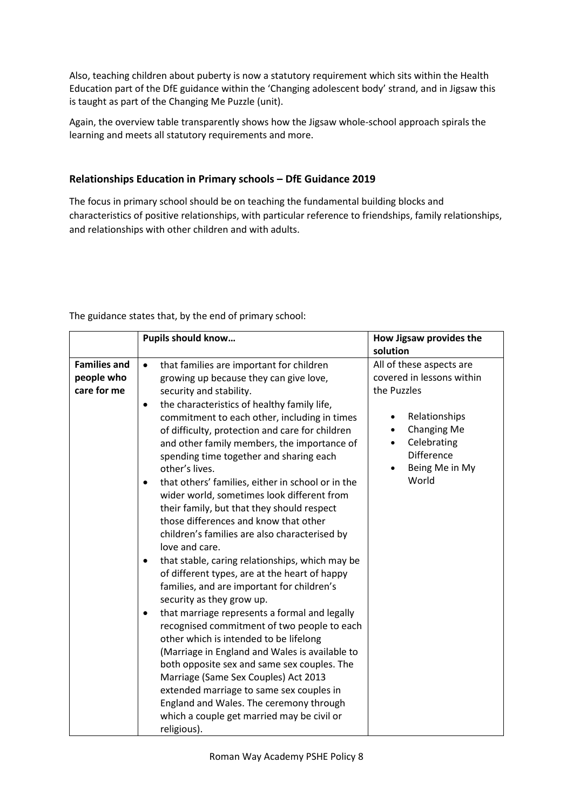Also, teaching children about puberty is now a statutory requirement which sits within the Health Education part of the DfE guidance within the 'Changing adolescent body' strand, and in Jigsaw this is taught as part of the Changing Me Puzzle (unit).

Again, the overview table transparently shows how the Jigsaw whole-school approach spirals the learning and meets all statutory requirements and more.

# **Relationships Education in Primary schools – DfE Guidance 2019**

The focus in primary school should be on teaching the fundamental building blocks and characteristics of positive relationships, with particular reference to friendships, family relationships, and relationships with other children and with adults.

|                                                  | Pupils should know                                                                                                                                                                                                                                                                                                                                                                                                                                                                                                                                                                                                                                                                                                                                                                                                                                                                                                                                                                                                                                                                                                                                                                                                                                                                                         | How Jigsaw provides the<br>solution                                                                                                                                                                                     |
|--------------------------------------------------|------------------------------------------------------------------------------------------------------------------------------------------------------------------------------------------------------------------------------------------------------------------------------------------------------------------------------------------------------------------------------------------------------------------------------------------------------------------------------------------------------------------------------------------------------------------------------------------------------------------------------------------------------------------------------------------------------------------------------------------------------------------------------------------------------------------------------------------------------------------------------------------------------------------------------------------------------------------------------------------------------------------------------------------------------------------------------------------------------------------------------------------------------------------------------------------------------------------------------------------------------------------------------------------------------------|-------------------------------------------------------------------------------------------------------------------------------------------------------------------------------------------------------------------------|
| <b>Families and</b><br>people who<br>care for me | that families are important for children<br>$\bullet$<br>growing up because they can give love,<br>security and stability.<br>the characteristics of healthy family life,<br>$\bullet$<br>commitment to each other, including in times<br>of difficulty, protection and care for children<br>and other family members, the importance of<br>spending time together and sharing each<br>other's lives.<br>that others' families, either in school or in the<br>wider world, sometimes look different from<br>their family, but that they should respect<br>those differences and know that other<br>children's families are also characterised by<br>love and care.<br>that stable, caring relationships, which may be<br>٠<br>of different types, are at the heart of happy<br>families, and are important for children's<br>security as they grow up.<br>that marriage represents a formal and legally<br>$\bullet$<br>recognised commitment of two people to each<br>other which is intended to be lifelong<br>(Marriage in England and Wales is available to<br>both opposite sex and same sex couples. The<br>Marriage (Same Sex Couples) Act 2013<br>extended marriage to same sex couples in<br>England and Wales. The ceremony through<br>which a couple get married may be civil or<br>religious). | All of these aspects are<br>covered in lessons within<br>the Puzzles<br>Relationships<br>$\bullet$<br><b>Changing Me</b><br>$\bullet$<br>Celebrating<br>$\bullet$<br>Difference<br>Being Me in My<br>$\bullet$<br>World |

The guidance states that, by the end of primary school: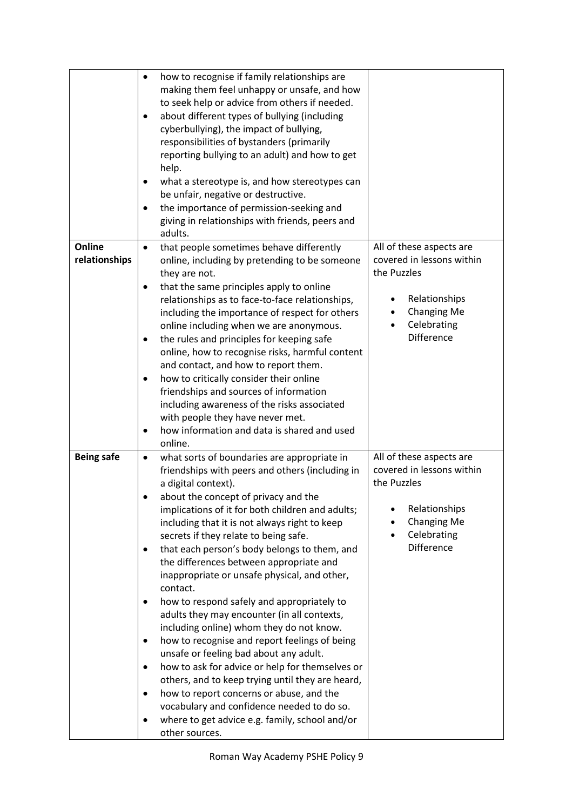|                   | how to recognise if family relationships are<br>$\bullet$<br>making them feel unhappy or unsafe, and how<br>to seek help or advice from others if needed.<br>about different types of bullying (including<br>٠<br>cyberbullying), the impact of bullying,<br>responsibilities of bystanders (primarily<br>reporting bullying to an adult) and how to get<br>help.<br>what a stereotype is, and how stereotypes can<br>be unfair, negative or destructive.<br>the importance of permission-seeking and<br>giving in relationships with friends, peers and<br>adults. |                                                       |
|-------------------|---------------------------------------------------------------------------------------------------------------------------------------------------------------------------------------------------------------------------------------------------------------------------------------------------------------------------------------------------------------------------------------------------------------------------------------------------------------------------------------------------------------------------------------------------------------------|-------------------------------------------------------|
| Online            | that people sometimes behave differently<br>$\bullet$                                                                                                                                                                                                                                                                                                                                                                                                                                                                                                               | All of these aspects are                              |
| relationships     | online, including by pretending to be someone<br>they are not.                                                                                                                                                                                                                                                                                                                                                                                                                                                                                                      | covered in lessons within<br>the Puzzles              |
|                   | that the same principles apply to online<br>٠                                                                                                                                                                                                                                                                                                                                                                                                                                                                                                                       |                                                       |
|                   | relationships as to face-to-face relationships,                                                                                                                                                                                                                                                                                                                                                                                                                                                                                                                     | Relationships<br>Changing Me                          |
|                   | including the importance of respect for others<br>online including when we are anonymous.                                                                                                                                                                                                                                                                                                                                                                                                                                                                           | Celebrating                                           |
|                   | the rules and principles for keeping safe                                                                                                                                                                                                                                                                                                                                                                                                                                                                                                                           | Difference                                            |
|                   | online, how to recognise risks, harmful content<br>and contact, and how to report them.                                                                                                                                                                                                                                                                                                                                                                                                                                                                             |                                                       |
|                   | how to critically consider their online<br>$\bullet$                                                                                                                                                                                                                                                                                                                                                                                                                                                                                                                |                                                       |
|                   | friendships and sources of information                                                                                                                                                                                                                                                                                                                                                                                                                                                                                                                              |                                                       |
|                   | including awareness of the risks associated<br>with people they have never met.                                                                                                                                                                                                                                                                                                                                                                                                                                                                                     |                                                       |
|                   | how information and data is shared and used<br>٠                                                                                                                                                                                                                                                                                                                                                                                                                                                                                                                    |                                                       |
|                   | online.                                                                                                                                                                                                                                                                                                                                                                                                                                                                                                                                                             |                                                       |
| <b>Being safe</b> | what sorts of boundaries are appropriate in<br>٠<br>friendships with peers and others (including in                                                                                                                                                                                                                                                                                                                                                                                                                                                                 | All of these aspects are<br>covered in lessons within |
|                   | a digital context).                                                                                                                                                                                                                                                                                                                                                                                                                                                                                                                                                 | the Puzzles                                           |
|                   | about the concept of privacy and the<br>implications of it for both children and adults;                                                                                                                                                                                                                                                                                                                                                                                                                                                                            | Relationships                                         |
|                   | including that it is not always right to keep                                                                                                                                                                                                                                                                                                                                                                                                                                                                                                                       | Changing Me                                           |
|                   | secrets if they relate to being safe.                                                                                                                                                                                                                                                                                                                                                                                                                                                                                                                               | Celebrating                                           |
|                   | that each person's body belongs to them, and<br>$\bullet$<br>the differences between appropriate and                                                                                                                                                                                                                                                                                                                                                                                                                                                                | Difference                                            |
|                   | inappropriate or unsafe physical, and other,                                                                                                                                                                                                                                                                                                                                                                                                                                                                                                                        |                                                       |
|                   | contact.                                                                                                                                                                                                                                                                                                                                                                                                                                                                                                                                                            |                                                       |
|                   | how to respond safely and appropriately to<br>٠<br>adults they may encounter (in all contexts,                                                                                                                                                                                                                                                                                                                                                                                                                                                                      |                                                       |
|                   | including online) whom they do not know.                                                                                                                                                                                                                                                                                                                                                                                                                                                                                                                            |                                                       |
|                   | how to recognise and report feelings of being<br>٠                                                                                                                                                                                                                                                                                                                                                                                                                                                                                                                  |                                                       |
|                   | unsafe or feeling bad about any adult.<br>how to ask for advice or help for themselves or<br>٠                                                                                                                                                                                                                                                                                                                                                                                                                                                                      |                                                       |
|                   | others, and to keep trying until they are heard,                                                                                                                                                                                                                                                                                                                                                                                                                                                                                                                    |                                                       |
|                   | how to report concerns or abuse, and the<br>$\bullet$                                                                                                                                                                                                                                                                                                                                                                                                                                                                                                               |                                                       |
|                   | vocabulary and confidence needed to do so.<br>where to get advice e.g. family, school and/or                                                                                                                                                                                                                                                                                                                                                                                                                                                                        |                                                       |
|                   | other sources.                                                                                                                                                                                                                                                                                                                                                                                                                                                                                                                                                      |                                                       |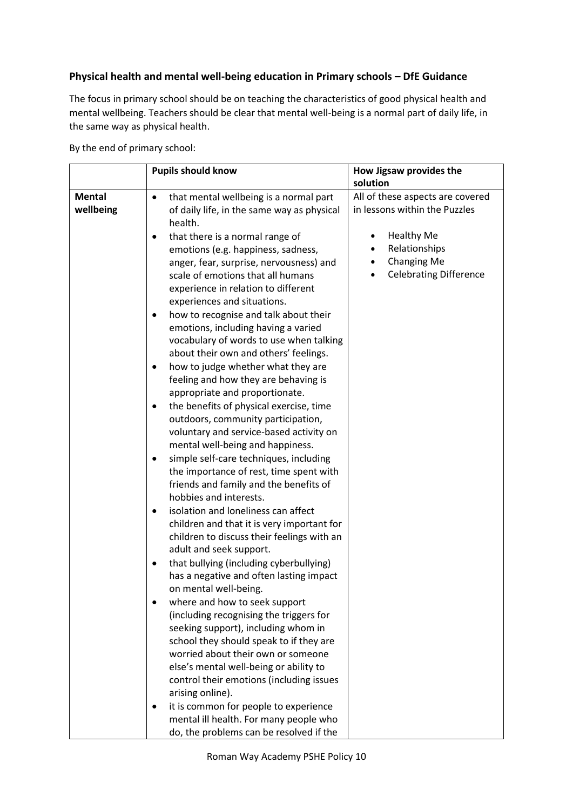# **Physical health and mental well-being education in Primary schools – DfE Guidance**

The focus in primary school should be on teaching the characteristics of good physical health and mental wellbeing. Teachers should be clear that mental well-being is a normal part of daily life, in the same way as physical health.

By the end of primary school:

|                            | <b>Pupils should know</b>                                                                                                                                                                                                                                                                                                                                                                                                                                                                                                                                                                                                                                                                                                                                                                                                                                                                                                                                                                                                                                                                                                                                                                                                                                                                                                                                                                                                                                                                                                                                                                                                                                                                         | How Jigsaw provides the<br>solution                                                                                                                     |
|----------------------------|---------------------------------------------------------------------------------------------------------------------------------------------------------------------------------------------------------------------------------------------------------------------------------------------------------------------------------------------------------------------------------------------------------------------------------------------------------------------------------------------------------------------------------------------------------------------------------------------------------------------------------------------------------------------------------------------------------------------------------------------------------------------------------------------------------------------------------------------------------------------------------------------------------------------------------------------------------------------------------------------------------------------------------------------------------------------------------------------------------------------------------------------------------------------------------------------------------------------------------------------------------------------------------------------------------------------------------------------------------------------------------------------------------------------------------------------------------------------------------------------------------------------------------------------------------------------------------------------------------------------------------------------------------------------------------------------------|---------------------------------------------------------------------------------------------------------------------------------------------------------|
| <b>Mental</b><br>wellbeing | that mental wellbeing is a normal part<br>$\bullet$<br>of daily life, in the same way as physical<br>health.<br>that there is a normal range of<br>٠<br>emotions (e.g. happiness, sadness,<br>anger, fear, surprise, nervousness) and<br>scale of emotions that all humans<br>experience in relation to different<br>experiences and situations.<br>how to recognise and talk about their<br>٠<br>emotions, including having a varied<br>vocabulary of words to use when talking<br>about their own and others' feelings.<br>how to judge whether what they are<br>feeling and how they are behaving is<br>appropriate and proportionate.<br>the benefits of physical exercise, time<br>٠<br>outdoors, community participation,<br>voluntary and service-based activity on<br>mental well-being and happiness.<br>simple self-care techniques, including<br>$\bullet$<br>the importance of rest, time spent with<br>friends and family and the benefits of<br>hobbies and interests.<br>isolation and loneliness can affect<br>$\bullet$<br>children and that it is very important for<br>children to discuss their feelings with an<br>adult and seek support.<br>that bullying (including cyberbullying)<br>٠<br>has a negative and often lasting impact<br>on mental well-being.<br>where and how to seek support<br>(including recognising the triggers for<br>seeking support), including whom in<br>school they should speak to if they are<br>worried about their own or someone<br>else's mental well-being or ability to<br>control their emotions (including issues<br>arising online).<br>it is common for people to experience<br>$\bullet$<br>mental ill health. For many people who | All of these aspects are covered<br>in lessons within the Puzzles<br><b>Healthy Me</b><br>Relationships<br>Changing Me<br><b>Celebrating Difference</b> |
|                            | do, the problems can be resolved if the                                                                                                                                                                                                                                                                                                                                                                                                                                                                                                                                                                                                                                                                                                                                                                                                                                                                                                                                                                                                                                                                                                                                                                                                                                                                                                                                                                                                                                                                                                                                                                                                                                                           |                                                                                                                                                         |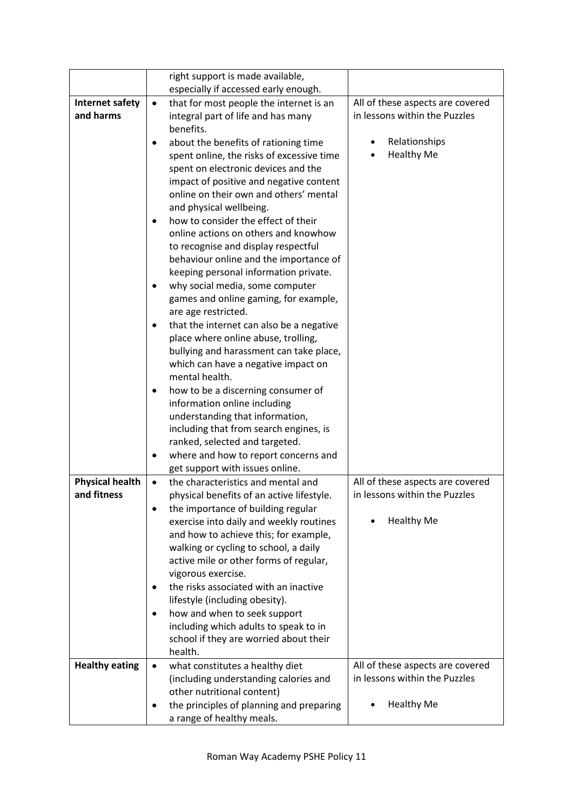|                        | right support is made available,                                               |                                  |
|------------------------|--------------------------------------------------------------------------------|----------------------------------|
|                        | especially if accessed early enough.                                           |                                  |
| Internet safety        | that for most people the internet is an<br>$\bullet$                           | All of these aspects are covered |
| and harms              | integral part of life and has many                                             | in lessons within the Puzzles    |
|                        | benefits.                                                                      |                                  |
|                        | about the benefits of rationing time                                           | Relationships                    |
|                        | spent online, the risks of excessive time                                      | <b>Healthy Me</b>                |
|                        | spent on electronic devices and the                                            |                                  |
|                        | impact of positive and negative content                                        |                                  |
|                        | online on their own and others' mental                                         |                                  |
|                        | and physical wellbeing.                                                        |                                  |
|                        | how to consider the effect of their<br>$\bullet$                               |                                  |
|                        | online actions on others and knowhow                                           |                                  |
|                        | to recognise and display respectful                                            |                                  |
|                        | behaviour online and the importance of                                         |                                  |
|                        | keeping personal information private.                                          |                                  |
|                        | why social media, some computer<br>games and online gaming, for example,       |                                  |
|                        | are age restricted.                                                            |                                  |
|                        | that the internet can also be a negative                                       |                                  |
|                        | place where online abuse, trolling,                                            |                                  |
|                        | bullying and harassment can take place,                                        |                                  |
|                        | which can have a negative impact on                                            |                                  |
|                        | mental health.                                                                 |                                  |
|                        | how to be a discerning consumer of<br>٠                                        |                                  |
|                        | information online including                                                   |                                  |
|                        | understanding that information,                                                |                                  |
|                        | including that from search engines, is                                         |                                  |
|                        | ranked, selected and targeted.                                                 |                                  |
|                        | where and how to report concerns and<br>٠                                      |                                  |
|                        | get support with issues online.                                                |                                  |
| <b>Physical health</b> | the characteristics and mental and<br>$\bullet$                                | All of these aspects are covered |
| and fitness            | physical benefits of an active lifestyle.                                      | in lessons within the Puzzles    |
|                        | the importance of building regular<br>$\bullet$                                | <b>Healthy Me</b>                |
|                        | exercise into daily and weekly routines                                        |                                  |
|                        | and how to achieve this; for example,<br>walking or cycling to school, a daily |                                  |
|                        | active mile or other forms of regular,                                         |                                  |
|                        | vigorous exercise.                                                             |                                  |
|                        | the risks associated with an inactive<br>$\bullet$                             |                                  |
|                        | lifestyle (including obesity).                                                 |                                  |
|                        | how and when to seek support<br>$\bullet$                                      |                                  |
|                        | including which adults to speak to in                                          |                                  |
|                        | school if they are worried about their                                         |                                  |
|                        | health.                                                                        |                                  |
| <b>Healthy eating</b>  | what constitutes a healthy diet<br>$\bullet$                                   | All of these aspects are covered |
|                        | (including understanding calories and                                          | in lessons within the Puzzles    |
|                        | other nutritional content)                                                     |                                  |
|                        | the principles of planning and preparing<br>$\bullet$                          | <b>Healthy Me</b>                |
|                        | a range of healthy meals.                                                      |                                  |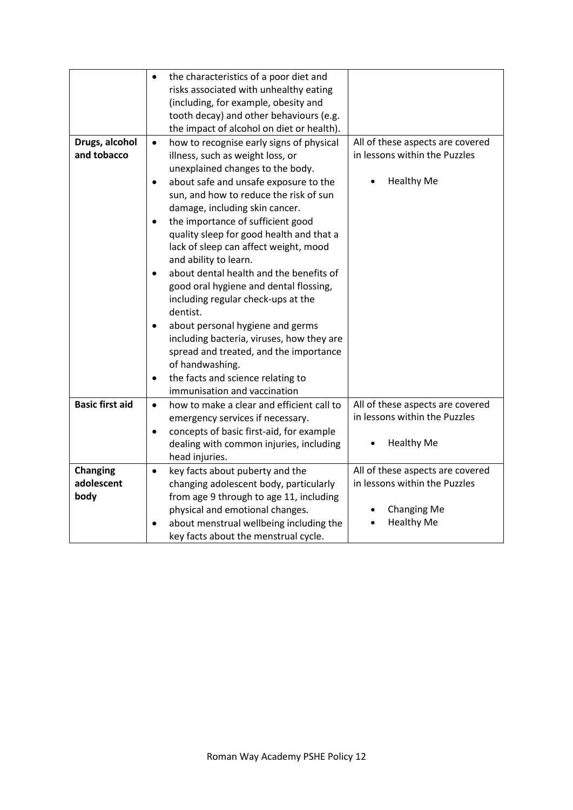|                                       | the characteristics of a poor diet and<br>risks associated with unhealthy eating<br>(including, for example, obesity and<br>tooth decay) and other behaviours (e.g.<br>the impact of alcohol on diet or health).                                                                                                                                                                                       |                                                                                                              |
|---------------------------------------|--------------------------------------------------------------------------------------------------------------------------------------------------------------------------------------------------------------------------------------------------------------------------------------------------------------------------------------------------------------------------------------------------------|--------------------------------------------------------------------------------------------------------------|
| Drugs, alcohol<br>and tobacco         | how to recognise early signs of physical<br>$\bullet$<br>illness, such as weight loss, or<br>unexplained changes to the body.<br>about safe and unsafe exposure to the<br>$\bullet$<br>sun, and how to reduce the risk of sun<br>damage, including skin cancer.<br>the importance of sufficient good<br>$\bullet$<br>quality sleep for good health and that a<br>lack of sleep can affect weight, mood | All of these aspects are covered<br>in lessons within the Puzzles<br><b>Healthy Me</b>                       |
|                                       | and ability to learn.<br>about dental health and the benefits of<br>$\bullet$<br>good oral hygiene and dental flossing,<br>including regular check-ups at the<br>dentist.                                                                                                                                                                                                                              |                                                                                                              |
|                                       | about personal hygiene and germs<br>$\bullet$<br>including bacteria, viruses, how they are<br>spread and treated, and the importance<br>of handwashing.<br>the facts and science relating to<br>immunisation and vaccination                                                                                                                                                                           |                                                                                                              |
| <b>Basic first aid</b>                | how to make a clear and efficient call to<br>$\bullet$<br>emergency services if necessary.<br>concepts of basic first-aid, for example<br>$\bullet$<br>dealing with common injuries, including<br>head injuries.                                                                                                                                                                                       | All of these aspects are covered<br>in lessons within the Puzzles<br><b>Healthy Me</b>                       |
| <b>Changing</b><br>adolescent<br>body | key facts about puberty and the<br>$\bullet$<br>changing adolescent body, particularly<br>from age 9 through to age 11, including<br>physical and emotional changes.<br>about menstrual wellbeing including the<br>key facts about the menstrual cycle.                                                                                                                                                | All of these aspects are covered<br>in lessons within the Puzzles<br><b>Changing Me</b><br><b>Healthy Me</b> |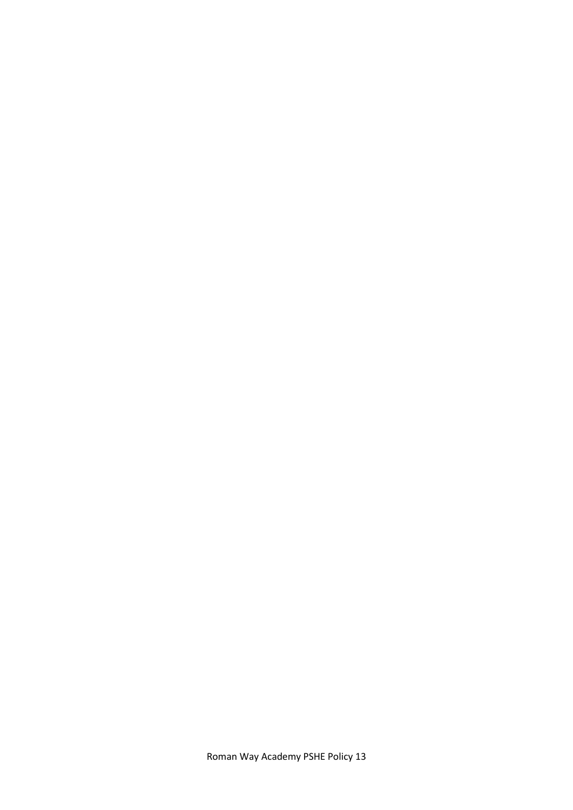Roman Way Academy PSHE Policy 13